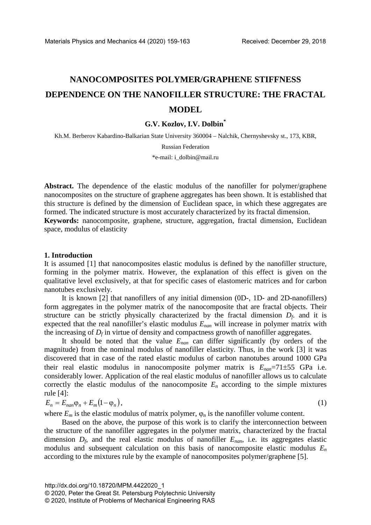# **NANOCOMPOSITES POLYMER/GRAPHENE STIFFNESS DEPENDENCE ON THE NANOFILLER STRUCTURE: THE FRACTAL MODEL**

## **G.V. Kozlov, I.V. Dolbin\***

Kh.M. Berberov Kabardino-Balkarian State University 360004 – Nalchik, Chernyshevsky st., 173, KBR,

Russian Federation

\*e-mail: i\_dolbin@mail.ru

**Abstract.** The dependence of the elastic modulus of the nanofiller for polymer/graphene nanocomposites on the structure of graphene aggregates has been shown. It is established that this structure is defined by the dimension of Euclidean space, in which these aggregates are formed. The indicated structure is most accurately characterized by its fractal dimension. **Keywords:** nanocomposite, graphene, structure, aggregation, fractal dimension, Euclidean space, modulus of elasticity

## **1. Introduction**

It is assumed [1] that nanocomposites elastic modulus is defined by the nanofiller structure, forming in the polymer matrix. However, the explanation of this effect is given on the qualitative level exclusively, at that for specific cases of elastomeric matrices and for carbon nanotubes exclusively.

It is known [2] that nanofillers of any initial dimension (0D-, 1D- and 2D-nanofillers) form aggregates in the polymer matrix of the nanocomposite that are fractal objects. Their structure can be strictly physically characterized by the fractal dimension  $D_f$ , and it is expected that the real nanofiller's elastic modulus *Enan* will increase in polymer matrix with the increasing of  $D_f$  in virtue of density and compactness growth of nanofiller aggregates.

It should be noted that the value *Enan* can differ significantly (by orders of the magnitude) from the nominal modulus of nanofiller elasticity. Thus, in the work [3] it was discovered that in case of the rated elastic modulus of carbon nanotubes around 1000 GPa their real elastic modulus in nanocomposite polymer matrix is  $E_{nan}$ =71 $\pm$ 55 GPa i.e. considerably lower. Application of the real elastic modulus of nanofiller allows us to calculate correctly the elastic modulus of the nanocomposite  $E_n$  according to the simple mixtures rule [4]:

$$
E_n = E_{nan}\varphi_n + E_m(1 - \varphi_n),\tag{1}
$$

where  $E_m$  is the elastic modulus of matrix polymer,  $\varphi_n$  is the nanofiller volume content.

Based on the above, the purpose of this work is to clarify the interconnection between the structure of the nanofiller aggregates in the polymer matrix, characterized by the fractal dimension  $D_f$ , and the real elastic modulus of nanofiller  $E_{nan}$ , i.e. its aggregates elastic modulus and subsequent calculation on this basis of nanocomposite elastic modulus *En* according to the mixtures rule by the example of nanocomposites polymer/graphene [5].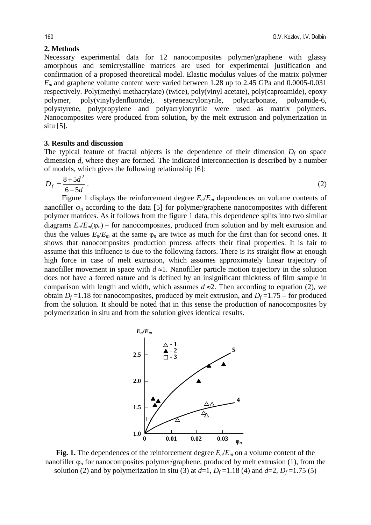# **2. Methods**

Necessary experimental data for 12 nanocomposites polymer/graphene with glassy amorphous and semicrystalline matrices are used for experimental justification and confirmation of a proposed theoretical model. Elastic modulus values of the matrix polymer *Em* and graphene volume content were varied between 1.28 up to 2.45 GPa and 0.0005-0.031 respectively. Poly(methyl methacrylate) (twice), poly(vinyl acetate), poly(caproamide), epoxy polymer, poly(vinylydenfluoride), styreneacrylonyrile, polycarbonate, polyamide-6, polystyrene, polypropylene and polyacrylonytrile were used as matrix polymers. Nanocomposites were produced from solution, by the melt extrusion and polymerization in situ [5].

## **3. Results and discussion**

The typical feature of fractal objects is the dependence of their dimension  $D_f$  on space dimension *d*, where they are formed. The indicated interconnection is described by a number of models, which gives the following relationship [6]:

$$
D_f = \frac{8 + 5d^2}{6 + 5d} \,. \tag{2}
$$

Figure 1 displays the reinforcement degree *En*/*Em* dependences on volume contents of nanofiller  $\varphi_n$  according to the data [5] for polymer/graphene nanocomposites with different polymer matrices. As it follows from the figure 1 data, this dependence splits into two similar diagrams  $E_n/E_m(\varphi_n)$  – for nanocomposites, produced from solution and by melt extrusion and thus the values  $E_n/E_m$  at the same  $\varphi_n$  are twice as much for the first than for second ones. It shows that nanocomposites production process affects their final properties. It is fair to assume that this influence is due to the following factors. There is its straight flow at enough high force in case of melt extrusion, which assumes approximately linear trajectory of nanofiller movement in space with  $d \approx 1$ . Nanofiller particle motion trajectory in the solution does not have a forced nature and is defined by an insignificant thickness of film sample in comparison with length and width, which assumes  $d \approx 2$ . Then according to equation (2), we obtain  $D_f = 1.18$  for nanocomposites, produced by melt extrusion, and  $D_f = 1.75$  – for produced from the solution. It should be noted that in this sense the production of nanocomposites by polymerization in situ and from the solution gives identical results.



**Fig. 1.** The dependences of the reinforcement degree *En*/*Em* on a volume content of the nanofiller ϕ*n* for nanocomposites polymer/graphene, produced by melt extrusion (1), from the solution (2) and by polymerization in situ (3) at  $d=1$ ,  $D_f=1.18$  (4) and  $d=2$ ,  $D_f=1.75$  (5)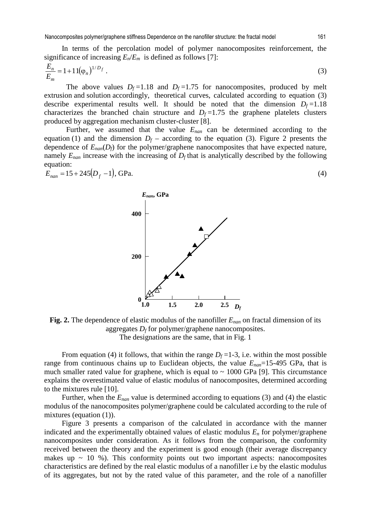Nanocomposites polymer/graphene stiffness Dependence on the nanofiller structure: the fractal model 161

In terms of the percolation model of polymer nanocomposites reinforcement, the significance of increasing  $E_n/E_m$  is defined as follows [7]:

$$
\frac{E_n}{E_m} = 1 + 11(\varphi_n)^{1/D_f} \tag{3}
$$

The above values  $D_f = 1.18$  and  $D_f = 1.75$  for nanocomposites, produced by melt extrusion and solution accordingly, theoretical curves, calculated according to equation (3) describe experimental results well. It should be noted that the dimension  $D_f = 1.18$ characterizes the branched chain structure and  $D_f = 1.75$  the graphene platelets clusters produced by aggregation mechanism cluster-cluster [8].

Further, we assumed that the value *Enan* can be determined according to the equation (1) and the dimension  $D_f$  – according to the equation (3). Figure 2 presents the dependence of  $E_{nan}(D_f)$  for the polymer/graphene nanocomposites that have expected nature, namely  $E_{nan}$  increase with the increasing of  $D_f$  that is analytically described by the following equation:

$$
E_{nan} = 15 + 245(D_f - 1), \text{GPa.}
$$
 (4)

*Enan***, GPa**

**400**

**200**



From equation (4) it follows, that within the range  $D_f = 1-3$ , i.e. within the most possible range from continuous chains up to Euclidean objects, the value *Enan*=15-495 GPa, that is much smaller rated value for graphene, which is equal to  $\sim 1000$  GPa [9]. This circumstance explains the overestimated value of elastic modulus of nanocomposites, determined according to the mixtures rule [10].

Further, when the  $E_{nan}$  value is determined according to equations (3) and (4) the elastic modulus of the nanocomposites polymer/graphene could be calculated according to the rule of mixtures (equation (1)).

Figure 3 presents a comparison of the calculated in accordance with the manner indicated and the experimentally obtained values of elastic modulus *En* for polymer/graphene nanocomposites under consideration. As it follows from the comparison, the conformity received between the theory and the experiment is good enough (their average discrepancy makes up  $\sim$  10 %). This conformity points out two important aspects: nanocomposites characteristics are defined by the real elastic modulus of a nanofiller i.e by the elastic modulus of its aggregates, but not by the rated value of this parameter, and the role of a nanofiller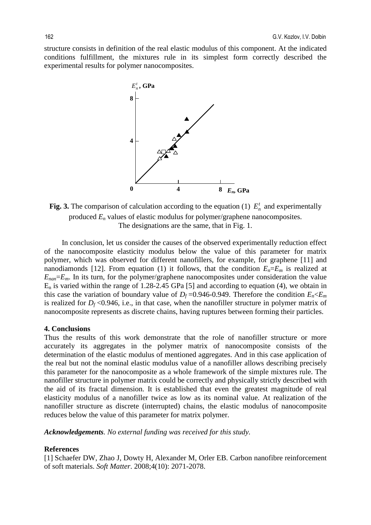structure consists in definition of the real elastic modulus of this component. At the indicated conditions fulfillment, the mixtures rule in its simplest form correctly described the experimental results for polymer nanocomposites.



**Fig. 3.** The comparison of calculation according to the equation (1)  $E_n^t$  and experimentally produced  $E_n$  values of elastic modulus for polymer/graphene nanocomposites. The designations are the same, that in Fig. 1.

In conclusion, let us consider the causes of the observed experimentally reduction effect of the nanocomposite elasticity modulus below the value of this parameter for matrix polymer, which was observed for different nanofillers, for example, for graphene [11] and nanodiamonds [12]. From equation (1) it follows, that the condition  $E_n = E_m$  is realized at *Enan*=*Em*. In its turn, for the polymer/graphene nanocomposites under consideration the value  $E_n$  is varied within the range of 1.28-2.45 GPa [5] and according to equation (4), we obtain in this case the variation of boundary value of  $D_f = 0.946 - 0.949$ . Therefore the condition  $E_n \le E_m$ is realized for  $D_f \le 0.946$ , i.e., in that case, when the nanofiller structure in polymer matrix of nanocomposite represents as discrete chains, having ruptures between forming their particles.

## **4. Conclusions**

Thus the results of this work demonstrate that the role of nanofiller structure or more accurately its aggregates in the polymer matrix of nanocomposite consists of the determination of the elastic modulus of mentioned aggregates. And in this case application of the real but not the nominal elastic modulus value of a nanofiller allows describing precisely this parameter for the nanocomposite as a whole framework of the simple mixtures rule. The nanofiller structure in polymer matrix could be correctly and physically strictly described with the aid of its fractal dimension. It is established that even the greatest magnitude of real elasticity modulus of a nanofiller twice as low as its nominal value. At realization of the nanofiller structure as discrete (interrupted) chains, the elastic modulus of nanocomposite reduces below the value of this parameter for matrix polymer.

*Acknowledgements. No external funding was received for this study.* 

#### **References**

[1] Schaefer DW, Zhao J, Dowty H, Alexander M, Orler EB. Carbon nanofibre reinforcement of soft materials. *Soft Matter*. 2008;4(10): 2071-2078.